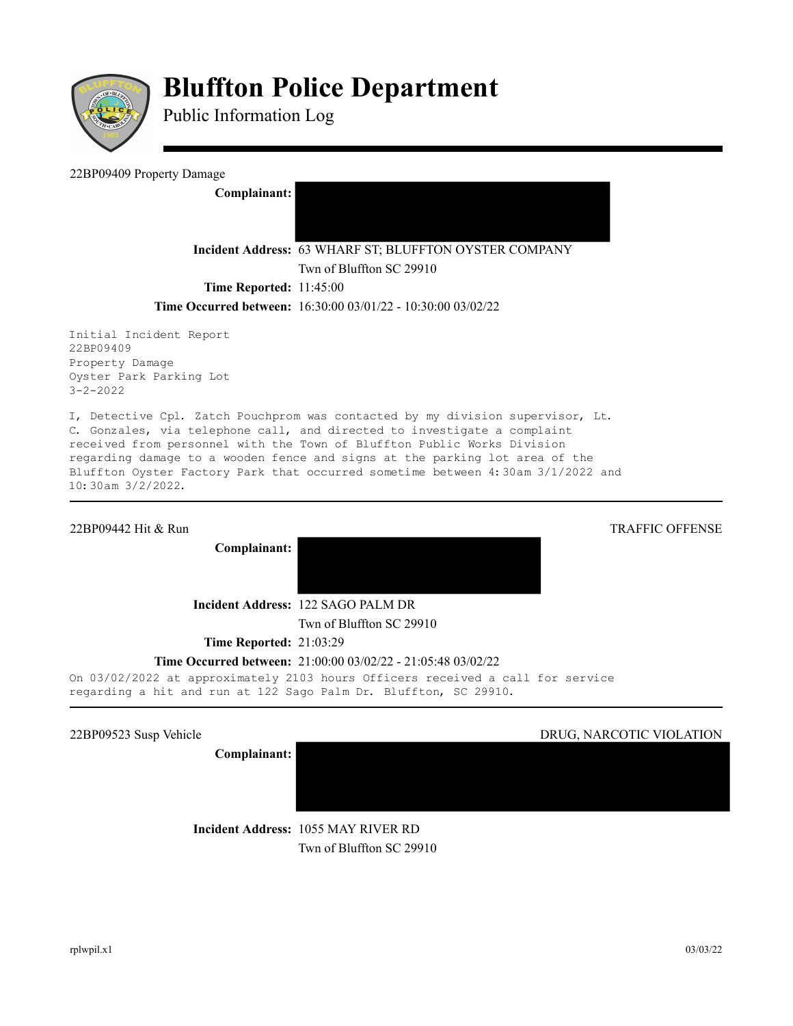

# **Bluffton Police Department**

Public Information Log

22BP09409 Property Damage

**Complainant:** 

**Incident Address:** 63 WHARF ST; BLUFFTON OYSTER COMPANY

Twn of Bluffton SC 29910

**Time Reported:** 11:45:00

### **Time Occurred between:** 16:30:00 03/01/22 - 10:30:00 03/02/22

Initial Incident Report 22BP09409 Property Damage Oyster Park Parking Lot 3-2-2022

I, Detective Cpl. Zatch Pouchprom was contacted by my division supervisor, Lt. C. Gonzales, via telephone call, and directed to investigate a complaint received from personnel with the Town of Bluffton Public Works Division regarding damage to a wooden fence and signs at the parking lot area of the Bluffton Oyster Factory Park that occurred sometime between 4:30am 3/1/2022 and 10:30am 3/2/2022.

#### 22BP09442 Hit & Run TRAFFIC OFFENSE

**Complainant:** 



Twn of Bluffton SC 29910

**Time Reported:** 21:03:29

## **Time Occurred between:** 21:00:00 03/02/22 - 21:05:48 03/02/22

On 03/02/2022 at approximately 2103 hours Officers received a call for service regarding a hit and run at 122 Sago Palm Dr. Bluffton, SC 29910.

**Complainant:** 

#### 22BP09523 Susp Vehicle DRUG, NARCOTIC VIOLATION

**Incident Address:** 1055 MAY RIVER RD Twn of Bluffton SC 29910